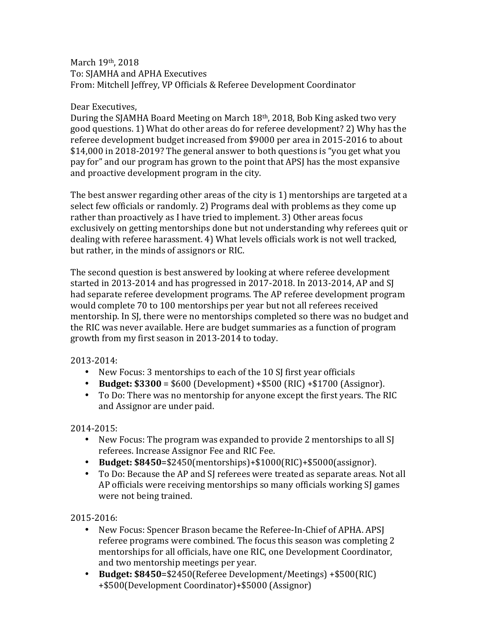## March 19th, 2018 To: SJAMHA and APHA Executives From: Mitchell Jeffrey, VP Officials & Referee Development Coordinator

## Dear Executives,

During the SJAMHA Board Meeting on March 18<sup>th</sup>, 2018, Bob King asked two very good questions. 1) What do other areas do for referee development? 2) Why has the referee development budget increased from \$9000 per area in 2015-2016 to about \$14,000 in 2018-2019? The general answer to both questions is "you get what you pay for" and our program has grown to the point that APSJ has the most expansive and proactive development program in the city.

The best answer regarding other areas of the city is 1) mentorships are targeted at a select few officials or randomly. 2) Programs deal with problems as they come up rather than proactively as I have tried to implement. 3) Other areas focus exclusively on getting mentorships done but not understanding why referees quit or dealing with referee harassment. 4) What levels officials work is not well tracked, but rather, in the minds of assignors or RIC.

The second question is best answered by looking at where referee development started in 2013-2014 and has progressed in 2017-2018. In 2013-2014, AP and SJ had separate referee development programs. The AP referee development program would complete 70 to 100 mentorships per year but not all referees received mentorship. In SJ, there were no mentorships completed so there was no budget and the RIC was never available. Here are budget summaries as a function of program growth from my first season in 2013-2014 to today.

2013-2014: 

- New Focus: 3 mentorships to each of the 10 SJ first year officials
- **Budget:**  $$3300 = $600$  (Development)  $+ $500$  (RIC)  $+ $1700$  (Assignor).
- To Do: There was no mentorship for anyone except the first years. The RIC and Assignor are under paid.

2014-2015: 

- New Focus: The program was expanded to provide 2 mentorships to all SJ referees. Increase Assignor Fee and RIC Fee.
- **Budget: \$8450**=\$2450(mentorships)+\$1000(RIC)+\$5000(assignor).
- To Do: Because the AP and SI referees were treated as separate areas. Not all AP officials were receiving mentorships so many officials working SJ games were not being trained.

2015-2016: 

- New Focus: Spencer Brason became the Referee-In-Chief of APHA. APSJ referee programs were combined. The focus this season was completing 2 mentorships for all officials, have one RIC, one Development Coordinator, and two mentorship meetings per year.
- **Budget: \$8450**=\$2450(Referee Development/Meetings) +\$500(RIC) +\$500(Development Coordinator)+\$5000 (Assignor)